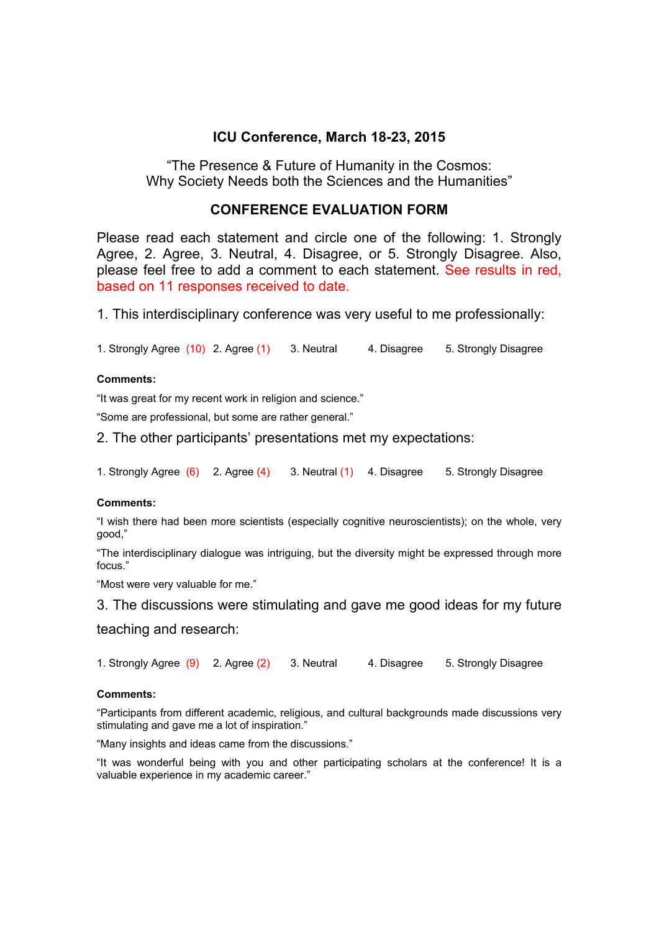# **ICU Conference, March 18-23, 2015**

"The Presence & Future of Humanity in the Cosmos: Why Society Needs both the Sciences and the Humanities"

# **CONFERENCE EVALUATION FORM**

Please read each statement and circle one of the following: 1. Strongly Agree, 2. Agree, 3. Neutral, 4. Disagree, or 5. Strongly Disagree. Also, please feel free to add a comment to each statement. See results in red, based on 11 responses received to date.

1. This interdisciplinary conference was very useful to me professionally:

1. Strongly Agree (10) 2. Agree (1) 3. Neutral 4. Disagree 5. Strongly Disagree

### **Comments:**

"It was great for my recent work in religion and science."

"Some are professional, but some are rather general."

2. The other participants' presentations met my expectations:

1. Strongly Agree (6) 2. Agree (4) 3. Neutral (1) 4. Disagree 5. Strongly Disagree

### **Comments:**

"I wish there had been more scientists (especially cognitive neuroscientists); on the whole, very good,"

"The interdisciplinary dialogue was intriguing, but the diversity might be expressed through more focus."

"Most were very valuable for me."

3. The discussions were stimulating and gave me good ideas for my future

teaching and research:

1. Strongly Agree (9) 2. Agree (2) 3. Neutral 4. Disagree 5. Strongly Disagree

### **Comments:**

"Participants from different academic, religious, and cultural backgrounds made discussions very stimulating and gave me a lot of inspiration."

"Many insights and ideas came from the discussions."

"It was wonderful being with you and other participating scholars at the conference! It is a valuable experience in my academic career."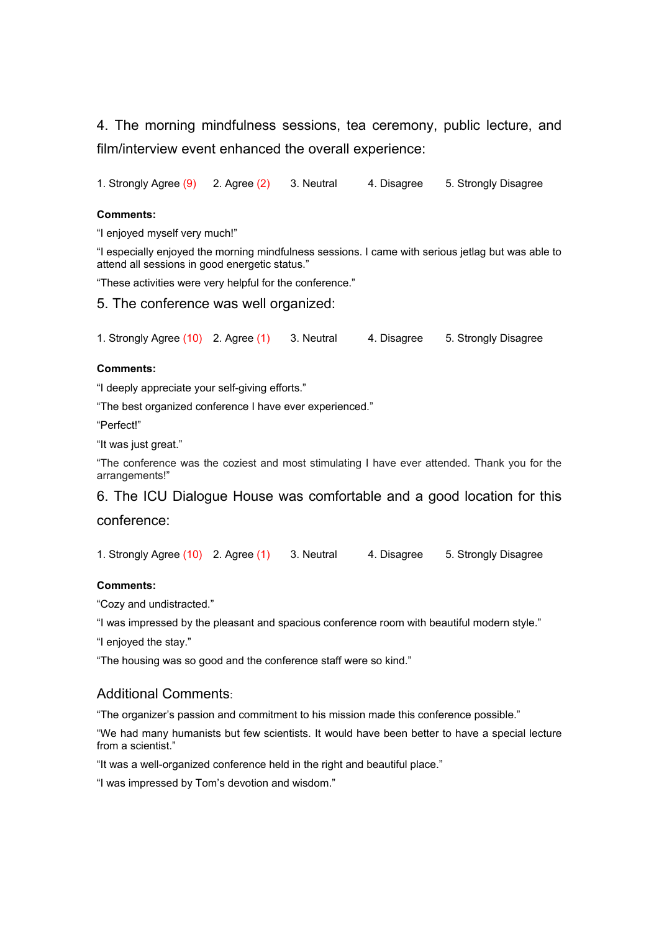4. The morning mindfulness sessions, tea ceremony, public lecture, and film/interview event enhanced the overall experience:

1. Strongly Agree (9) 2. Agree (2) 3. Neutral 4. Disagree 5. Strongly Disagree

#### **Comments:**

"I enjoyed myself very much!"

"I especially enjoyed the morning mindfulness sessions. I came with serious jetlag but was able to attend all sessions in good energetic status."

"These activities were very helpful for the conference."

5. The conference was well organized:

1. Strongly Agree (10) 2. Agree (1) 3. Neutral 4. Disagree 5. Strongly Disagree

#### **Comments:**

"I deeply appreciate your self-giving efforts."

"The best organized conference I have ever experienced."

"Perfect!"

"It was just great."

"The conference was the coziest and most stimulating I have ever attended. Thank you for the arrangements!"

6. The ICU Dialogue House was comfortable and a good location for this conference:

1. Strongly Agree (10) 2. Agree (1) 3. Neutral 4. Disagree 5. Strongly Disagree

### **Comments:**

"Cozy and undistracted."

"I was impressed by the pleasant and spacious conference room with beautiful modern style."

"I enjoyed the stay."

"The housing was so good and the conference staff were so kind."

## Additional Comments:

"The organizer's passion and commitment to his mission made this conference possible."

"We had many humanists but few scientists. It would have been better to have a special lecture from a scientist."

"It was a well-organized conference held in the right and beautiful place."

"I was impressed by Tom's devotion and wisdom."